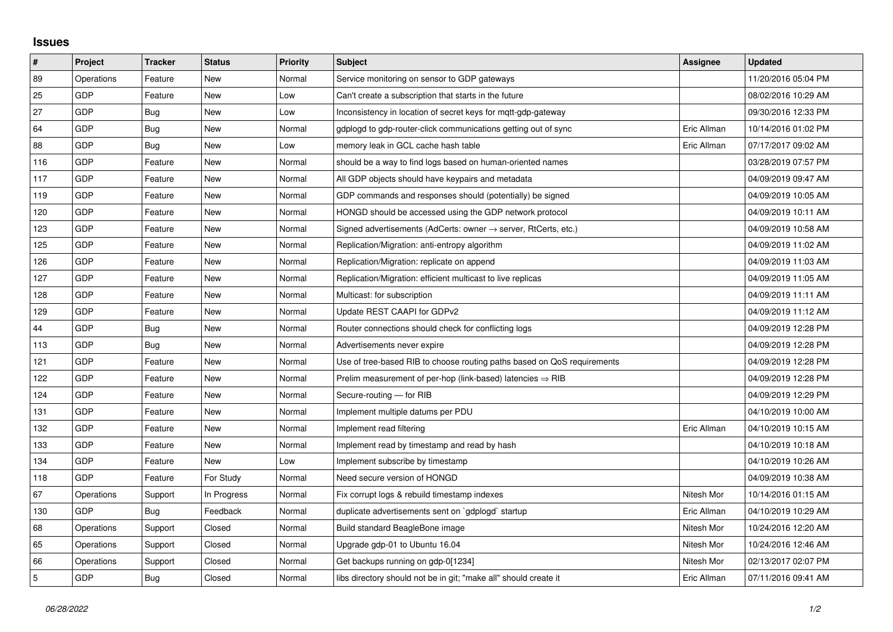## **Issues**

| $\vert$ #      | Project    | <b>Tracker</b> | <b>Status</b> | <b>Priority</b> | <b>Subject</b>                                                             | Assignee    | <b>Updated</b>      |
|----------------|------------|----------------|---------------|-----------------|----------------------------------------------------------------------------|-------------|---------------------|
| 89             | Operations | Feature        | <b>New</b>    | Normal          | Service monitoring on sensor to GDP gateways                               |             | 11/20/2016 05:04 PM |
| 25             | GDP        | Feature        | New           | Low             | Can't create a subscription that starts in the future                      |             | 08/02/2016 10:29 AM |
| 27             | GDP        | Bug            | New           | Low             | Inconsistency in location of secret keys for mgtt-gdp-gateway              |             | 09/30/2016 12:33 PM |
| 64             | GDP        | <b>Bug</b>     | <b>New</b>    | Normal          | gdplogd to gdp-router-click communications getting out of sync             | Eric Allman | 10/14/2016 01:02 PM |
| 88             | GDP        | Bug            | New           | Low             | memory leak in GCL cache hash table                                        | Eric Allman | 07/17/2017 09:02 AM |
| 116            | GDP        | Feature        | New           | Normal          | should be a way to find logs based on human-oriented names                 |             | 03/28/2019 07:57 PM |
| 117            | GDP        | Feature        | <b>New</b>    | Normal          | All GDP objects should have keypairs and metadata                          |             | 04/09/2019 09:47 AM |
| 119            | GDP        | Feature        | New           | Normal          | GDP commands and responses should (potentially) be signed                  |             | 04/09/2019 10:05 AM |
| 120            | GDP        | Feature        | <b>New</b>    | Normal          | HONGD should be accessed using the GDP network protocol                    |             | 04/09/2019 10:11 AM |
| 123            | GDP        | Feature        | New           | Normal          | Signed advertisements (AdCerts: owner $\rightarrow$ server, RtCerts, etc.) |             | 04/09/2019 10:58 AM |
| 125            | GDP        | Feature        | New           | Normal          | Replication/Migration: anti-entropy algorithm                              |             | 04/09/2019 11:02 AM |
| 126            | GDP        | Feature        | New           | Normal          | Replication/Migration: replicate on append                                 |             | 04/09/2019 11:03 AM |
| 127            | GDP        | Feature        | New           | Normal          | Replication/Migration: efficient multicast to live replicas                |             | 04/09/2019 11:05 AM |
| 128            | GDP        | Feature        | New           | Normal          | Multicast: for subscription                                                |             | 04/09/2019 11:11 AM |
| 129            | GDP        | Feature        | New           | Normal          | Update REST CAAPI for GDPv2                                                |             | 04/09/2019 11:12 AM |
| 44             | GDP        | Bug            | New           | Normal          | Router connections should check for conflicting logs                       |             | 04/09/2019 12:28 PM |
| 113            | GDP        | Bug            | New           | Normal          | Advertisements never expire                                                |             | 04/09/2019 12:28 PM |
| 121            | GDP        | Feature        | New           | Normal          | Use of tree-based RIB to choose routing paths based on QoS requirements    |             | 04/09/2019 12:28 PM |
| 122            | GDP        | Feature        | New           | Normal          | Prelim measurement of per-hop (link-based) latencies $\Rightarrow$ RIB     |             | 04/09/2019 12:28 PM |
| 124            | GDP        | Feature        | New           | Normal          | Secure-routing - for RIB                                                   |             | 04/09/2019 12:29 PM |
| 131            | GDP        | Feature        | New           | Normal          | Implement multiple datums per PDU                                          |             | 04/10/2019 10:00 AM |
| 132            | GDP        | Feature        | New           | Normal          | Implement read filtering                                                   | Eric Allman | 04/10/2019 10:15 AM |
| 133            | GDP        | Feature        | New           | Normal          | Implement read by timestamp and read by hash                               |             | 04/10/2019 10:18 AM |
| 134            | GDP        | Feature        | New           | Low             | Implement subscribe by timestamp                                           |             | 04/10/2019 10:26 AM |
| 118            | GDP        | Feature        | For Study     | Normal          | Need secure version of HONGD                                               |             | 04/09/2019 10:38 AM |
| 67             | Operations | Support        | In Progress   | Normal          | Fix corrupt logs & rebuild timestamp indexes                               | Nitesh Mor  | 10/14/2016 01:15 AM |
| 130            | GDP        | Bug            | Feedback      | Normal          | duplicate advertisements sent on `gdplogd` startup                         | Eric Allman | 04/10/2019 10:29 AM |
| 68             | Operations | Support        | Closed        | Normal          | Build standard BeagleBone image                                            | Nitesh Mor  | 10/24/2016 12:20 AM |
| 65             | Operations | Support        | Closed        | Normal          | Upgrade gdp-01 to Ubuntu 16.04                                             | Nitesh Mor  | 10/24/2016 12:46 AM |
| 66             | Operations | Support        | Closed        | Normal          | Get backups running on gdp-0[1234]                                         | Nitesh Mor  | 02/13/2017 02:07 PM |
| $\overline{5}$ | GDP        | Bug            | Closed        | Normal          | libs directory should not be in git; "make all" should create it           | Eric Allman | 07/11/2016 09:41 AM |